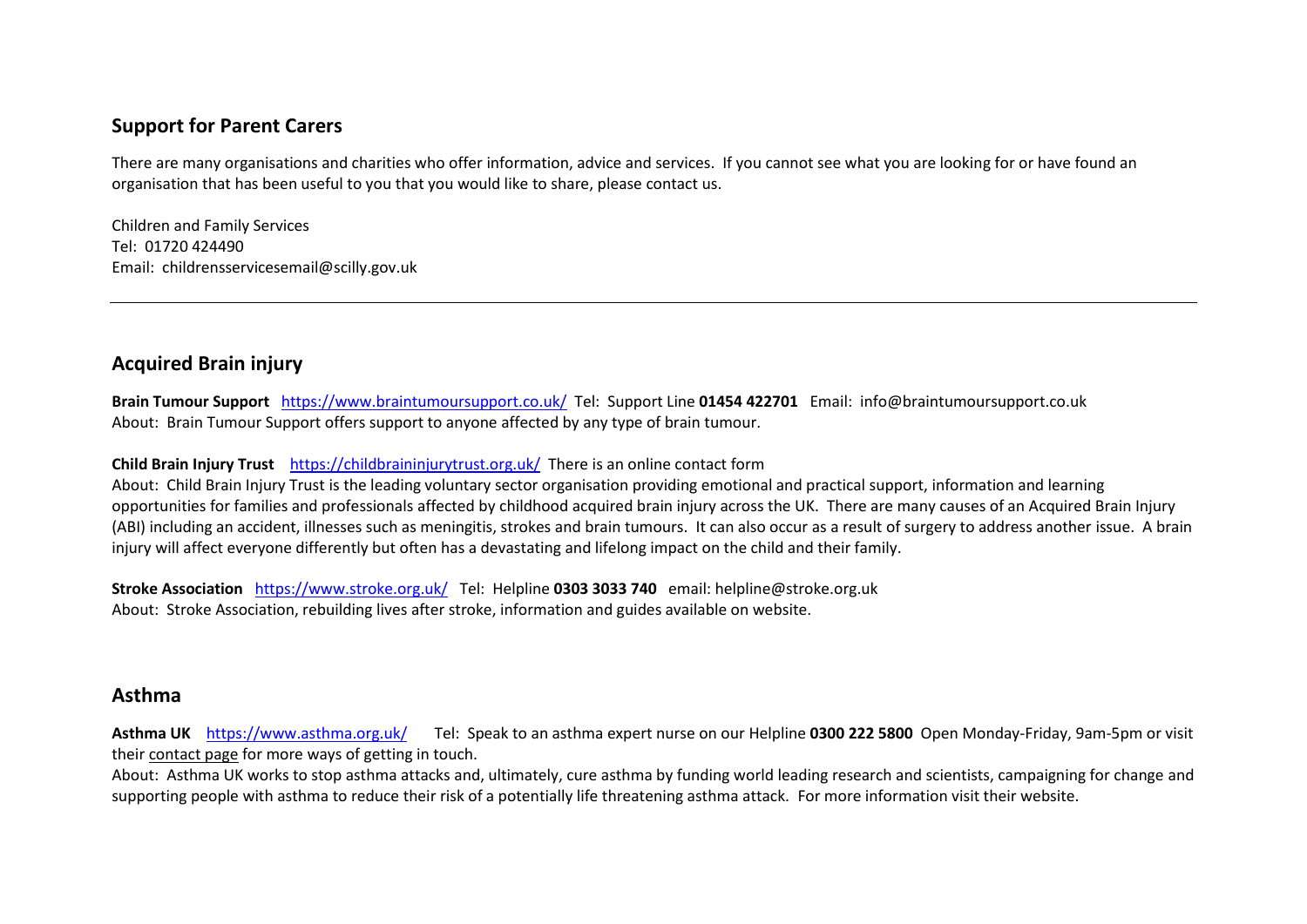## **Support for Parent Carers**

There are many organisations and charities who offer information, advice and services. If you cannot see what you are looking for or have found an organisation that has been useful to you that you would like to share, please contact us.

Children and Family Services Tel: 01720 424490 Email: childrensservicesemail@scilly.gov.uk

# **Acquired Brain injury**

**Brain Tumour Support** <https://www.braintumoursupport.co.uk/>Tel: Support Line **01454 422701** Email: info@braintumoursupport.co.uk About: Brain Tumour Support offers support to anyone affected by any type of brain tumour.

#### **Child Brain Injury Trust** <https://childbraininjurytrust.org.uk/>There is an online contact form

About: Child Brain Injury Trust is the leading voluntary sector organisation providing emotional and practical support, information and learning opportunities for families and professionals affected by childhood acquired brain injury across the UK. There are many causes of an Acquired Brain Injury (ABI) including an accident, illnesses such as meningitis, strokes and brain tumours. It can also occur as a result of surgery to address another issue. A brain injury will affect everyone differently but often has a devastating and lifelong impact on the child and their family.

**Stroke Association** <https://www.stroke.org.uk/>Tel: Helpline **0303 3033 740** email: helpline@stroke.org.uk About: Stroke Association, rebuilding lives after stroke, information and guides available on website.

### **Asthma**

**Asthma UK** <https://www.asthma.org.uk/>Tel: Speak to an asthma expert nurse on our Helpline **0300 222 [5800](tel:0300%20222%205800)** Open Monday-Friday, 9am-5pm or visit their [contact](https://www.asthma.org.uk/link/d8cb0ec3f95c40feb329086eeb517546.aspx) page for more ways of getting in touch.

About: Asthma UK works to stop asthma attacks and, ultimately, cure asthma by funding world leading research and scientists, campaigning for change and supporting people with asthma to reduce their risk of a potentially life threatening asthma attack. For more information visit their website.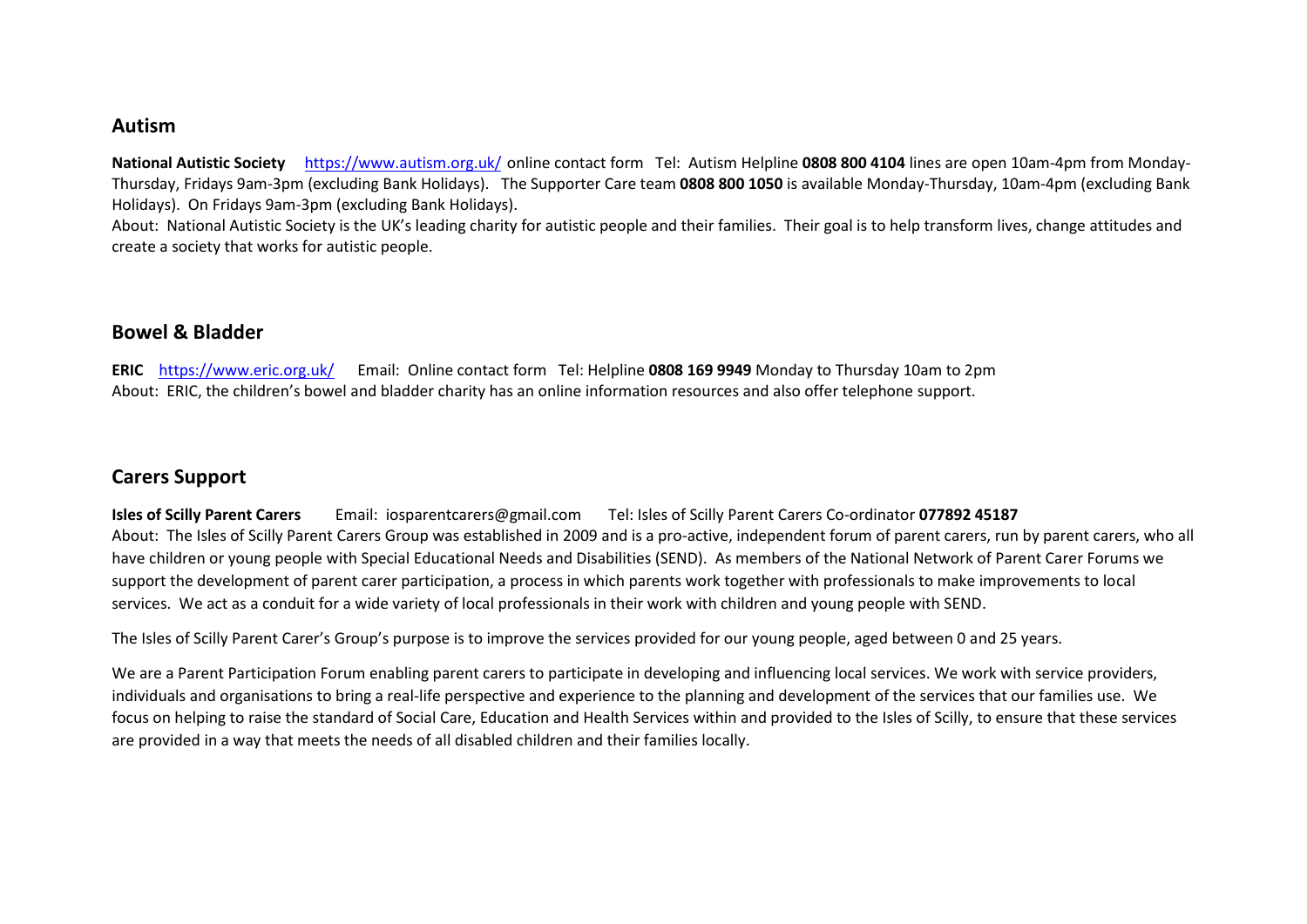#### **Autism**

**National Autistic Society** <https://www.autism.org.uk/> online contact form Tel: Autism Helpline **0808 800 4104** lines are open 10am-4pm from Monday-Thursday, Fridays 9am-3pm (excluding Bank Holidays). The Supporter Care team **0808 800 1050** is available Monday-Thursday, 10am-4pm (excluding Bank Holidays). On Fridays 9am-3pm (excluding Bank Holidays).

About: National Autistic Society is the UK's leading charity for autistic people and their families. Their goal is to help transform lives, change attitudes and create a society that works for autistic people.

### **Bowel & Bladder**

**ERIC** <https://www.eric.org.uk/>Email: Online contact form Tel: Helpline **0808 169 9949** Monday to Thursday 10am to 2pm About: ERIC, the children's bowel and bladder charity has an online information resources and also offer telephone support.

## **Carers Support**

**Isles of Scilly Parent Carers** Email: iosparentcarers@gmail.com Tel: Isles of Scilly Parent Carers Co-ordinator **077892 45187** About: The Isles of Scilly Parent Carers Group was established in 2009 and is a pro-active, independent forum of parent carers, run by parent carers, who all have children or young people with Special Educational Needs and Disabilities (SEND). As members of the National Network of Parent Carer Forums we support the development of parent carer participation, a process in which parents work together with professionals to make improvements to local services. We act as a conduit for a wide variety of local professionals in their work with children and young people with SEND.

The Isles of Scilly Parent Carer's Group's purpose is to improve the services provided for our young people, aged between 0 and 25 years.

We are a Parent Participation Forum enabling parent carers to participate in developing and influencing local services. We work with service providers, individuals and organisations to bring a real-life perspective and experience to the planning and development of the services that our families use. We focus on helping to raise the standard of Social Care, Education and Health Services within and provided to the Isles of Scilly, to ensure that these services are provided in a way that meets the needs of all disabled children and their families locally.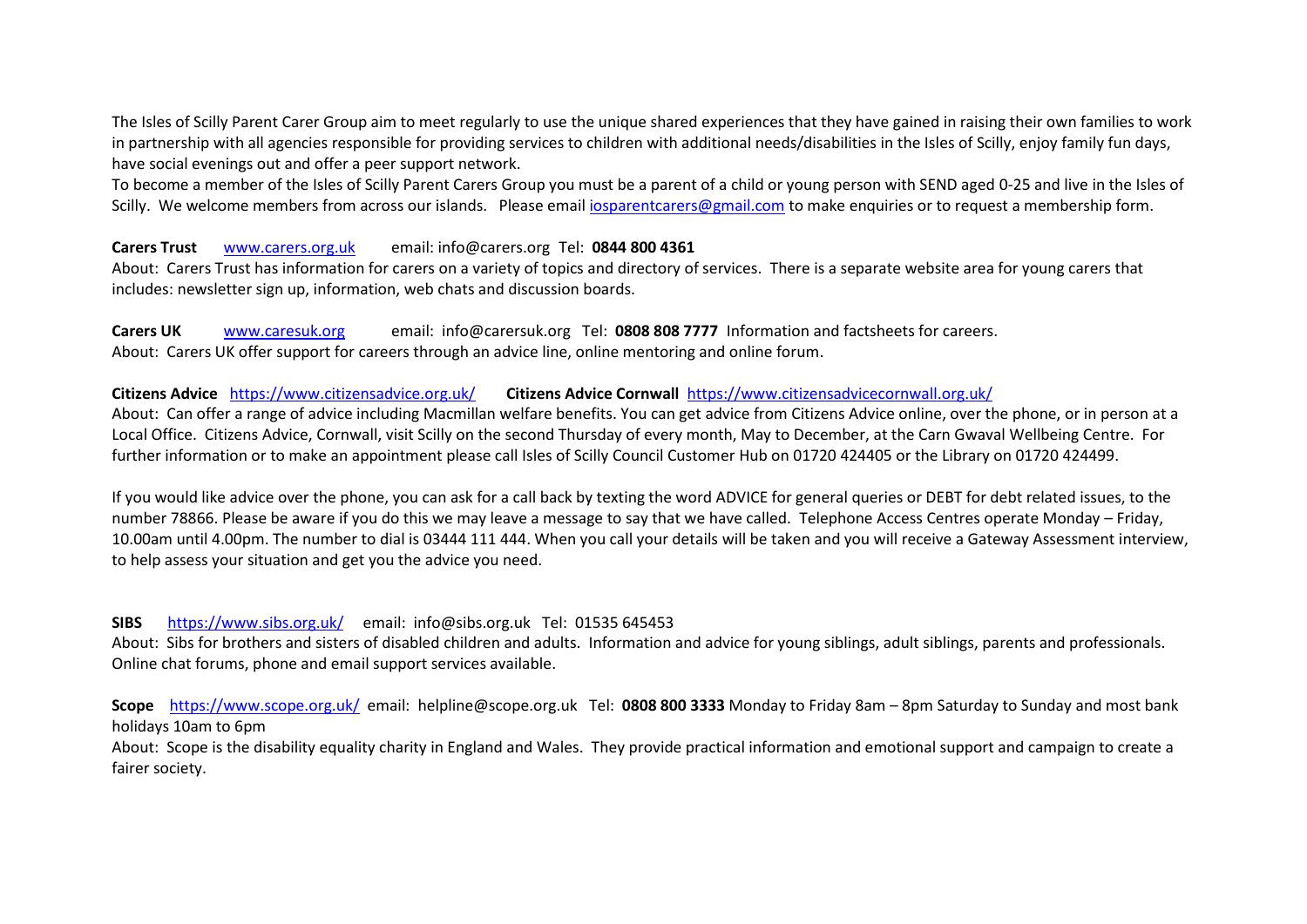The Isles of Scilly Parent Carer Group aim to meet regularly to use the unique shared experiences that they have gained in raising their own families to work in partnership with all agencies responsible for providing services to children with additional needs/disabilities in the Isles of Scilly, enjoy family fun days, have social evenings out and offer a peer support network.

To become a member of the Isles of Scilly Parent Carers Group you must be a parent of a child or young person with SEND aged 0-25 and live in the Isles of Scilly. We welcome members from across our islands. Please emai[l iosparentcarers@gmail.com](mailto:iosparentcarers@gmail.com) to make enquiries or to request a membership form.

#### **Carers Trust** [www.carers.org.uk](http://www.carers.org.uk/) email: info@carers.org Tel: **0844 800 4361**

About: Carers Trust has information for carers on a variety of topics and directory of services. There is a separate website area for young carers that includes: newsletter sign up, information, web chats and discussion boards.

**Carers UK** [www.caresuk.org](http://www.caresuk.org/) email: info@carersuk.org Tel: **0808 808 7777** Information and factsheets for careers. About: Carers UK offer support for careers through an advice line, online mentoring and online forum.

#### **Citizens Advice** <https://www.citizensadvice.org.uk/> **Citizens Advice Cornwall** <https://www.citizensadvicecornwall.org.uk/>

About: Can offer a range of advice including Macmillan welfare benefits. You can get advice from Citizens Advice online, over the phone, or in person at a Local Office. Citizens Advice, Cornwall, visit Scilly on the second Thursday of every month, May to December, at the Carn Gwaval Wellbeing Centre. For further information or to make an appointment please call Isles of Scilly Council Customer Hub on 01720 424405 or the Library on 01720 424499.

If you would like advice over the phone, you can ask for a call back by texting the word ADVICE for general queries or DEBT for debt related issues, to the number 78866. Please be aware if you do this we may leave a message to say that we have called. Telephone Access Centres operate Monday – Friday, 10.00am until 4.00pm. The number to dial is 03444 111 444. When you call your details will be taken and you will receive a Gateway Assessment interview, to help assess your situation and get you the advice you need.

#### **SIBS** <https://www.sibs.org.uk/>email: info@sibs.org.uk Tel: 01535 645453

About: Sibs for brothers and sisters of disabled children and adults. Information and advice for young siblings, adult siblings, parents and professionals. Online chat forums, phone and email support services available.

**Scope** <https://www.scope.org.uk/>email: helpline@scope.org.uk Tel: **0808 800 3333** Monday to Friday 8am – 8pm Saturday to Sunday and most bank holidays 10am to 6pm

About: Scope is the disability equality charity in England and Wales. They provide practical information and emotional support and campaign to create a fairer society.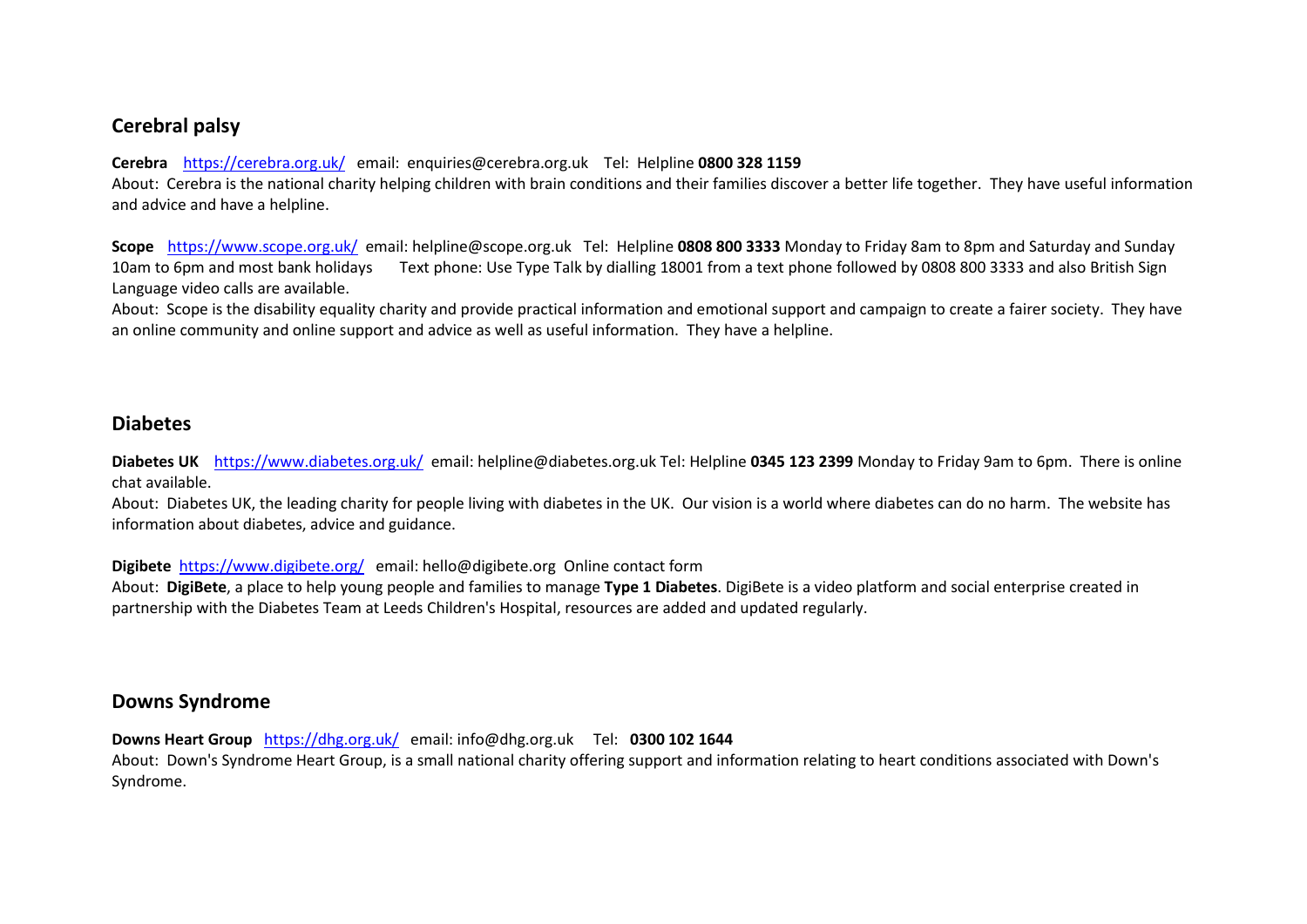# **Cerebral palsy**

#### **Cerebra** <https://cerebra.org.uk/>email: enquiries@cerebra.org.uk Tel: Helpline **0800 328 1159**

About: Cerebra is the national charity helping children with brain conditions and their families discover a better life together. They have useful information and advice and have a helpline.

**Scope** <https://www.scope.org.uk/>email: helpline@scope.org.uk Tel: Helpline **0808 800 3333** Monday to Friday 8am to 8pm and Saturday and Sunday 10am to 6pm and most bank holidays Text phone: Use Type Talk by dialling [18001](tel:18001) from a text phone followed by 0808 800 3333 and also British Sign Language video calls are available.

About: Scope is the disability equality charity and provide practical information and emotional support and campaign to create a fairer society. They have an online community and online support and advice as well as useful information. They have a helpline.

### **Diabetes**

**Diabetes UK** <https://www.diabetes.org.uk/>email: helpline@diabetes.org.uk Tel: Helpline **0345 123 2399** Monday to Friday 9am to 6pm. There is online chat available.

About: Diabetes UK, the leading charity for people living with diabetes in the UK. Our vision is a world where diabetes can do no harm. The website has information about diabetes, advice and guidance.

#### **Digibete** <https://www.digibete.org/>email: hello@digibete.org Online contact form

About: **DigiBete**, a place to help young people and families to manage **Type 1 Diabetes**. DigiBete is a video platform and social enterprise created in partnership with the Diabetes Team at Leeds Children's Hospital, resources are added and updated regularly.

#### **Downs Syndrome**

**Downs Heart Group** <https://dhg.org.uk/>email: info@dhg.org.uk Tel: **0300 102 1644**

About: Down's Syndrome Heart Group, is a small national charity offering support and information relating to heart conditions associated with Down's Syndrome.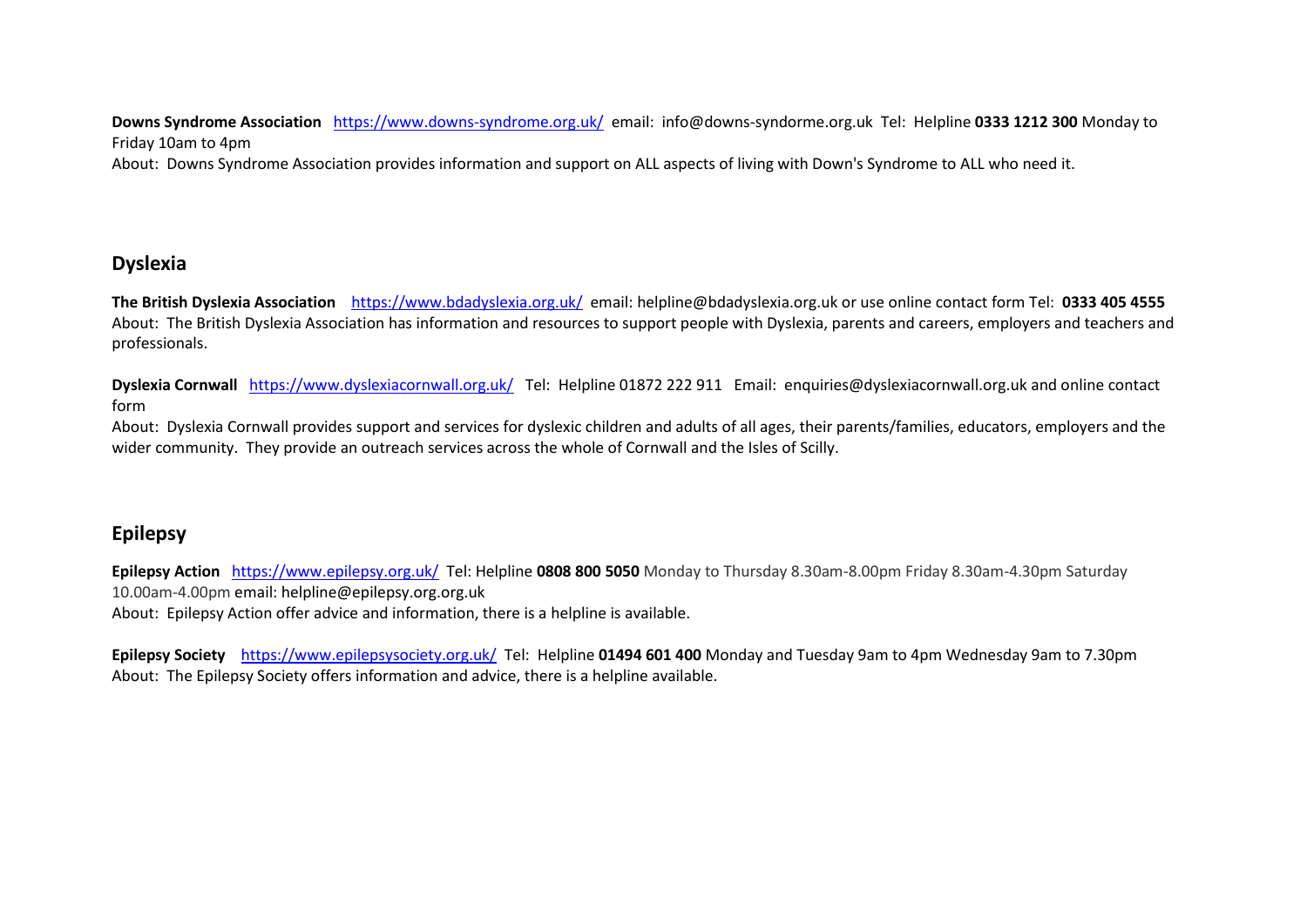**Downs Syndrome Association**<https://www.downs-syndrome.org.uk/>email: info@downs-syndorme.org.uk Tel: Helpline **0333 1212 300** Monday to Friday 10am to 4pm

About: Downs Syndrome Association provides information and support on ALL aspects of living with Down's Syndrome to ALL who need it.

# **Dyslexia**

**The British Dyslexia Association** <https://www.bdadyslexia.org.uk/> email: helpline@bdadyslexia.org.uk or use online contact form Tel: **0333 405 4555** About: The British Dyslexia Association has information and resources to support people with Dyslexia, parents and careers, employers and teachers and professionals.

**Dyslexia Cornwall** <https://www.dyslexiacornwall.org.uk/>Tel: Helpline 01872 222 911 Email: enquiries@dyslexiacornwall.org.uk and online contact form

About: Dyslexia Cornwall provides support and services for dyslexic children and adults of all ages, their parents/families, educators, employers and the wider community. They provide an outreach services across the whole of Cornwall and the Isles of Scilly.

# **Epilepsy**

**Epilepsy Action** <https://www.epilepsy.org.uk/>Tel: Helpline **0808 800 5050** Monday to Thursday 8.30am-8.00pm Friday 8.30am-4.30pm Saturday 10.00am-4.00pm email: helpline@epilepsy.org.org.uk

About: Epilepsy Action offer advice and information, there is a helpline is available.

**Epilepsy Society** <https://www.epilepsysociety.org.uk/>Tel: Helpline **01494 601 400** Monday and Tuesday 9am to 4pm Wednesday 9am to 7.30pm About: The Epilepsy Society offers information and advice, there is a helpline available.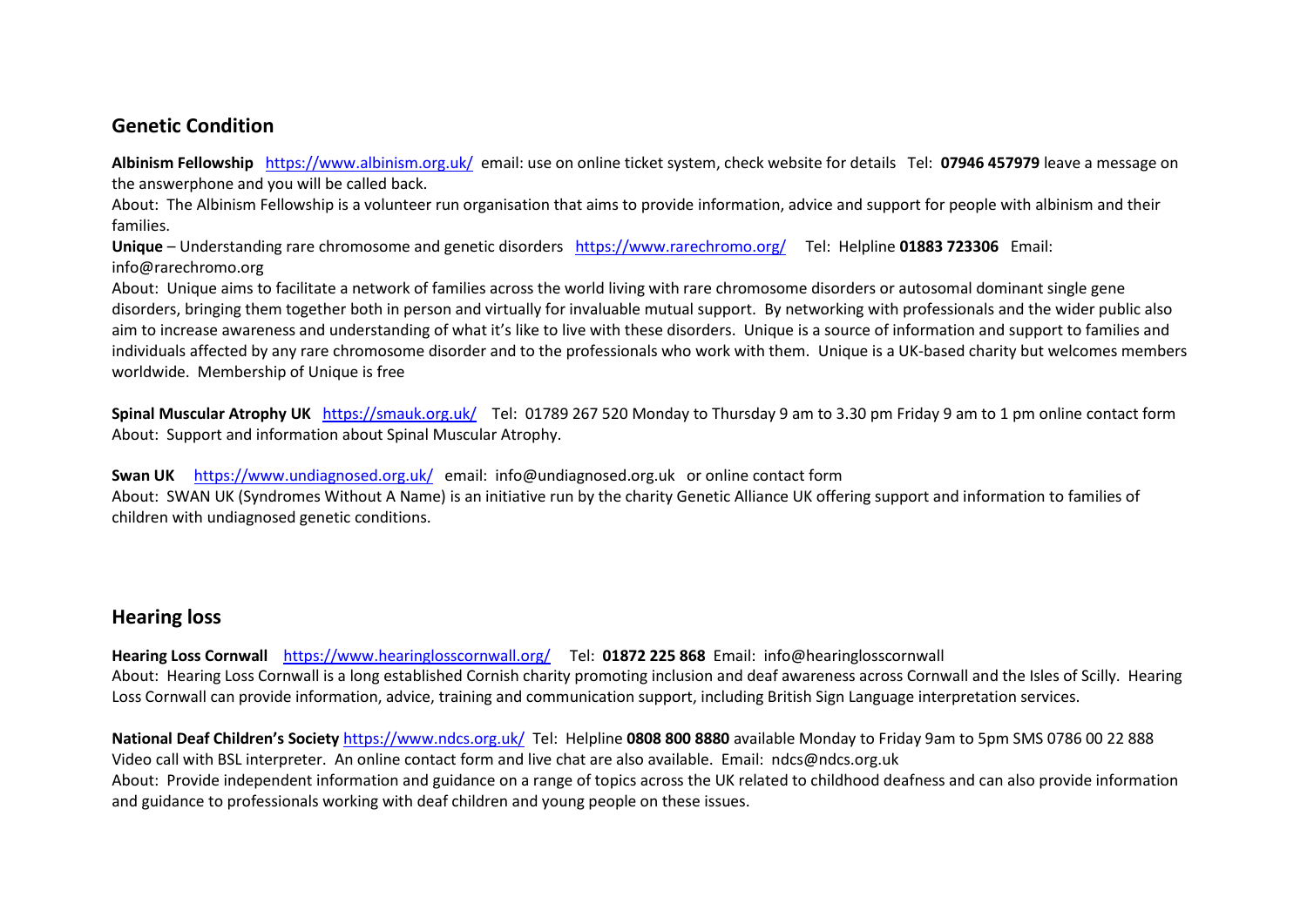# **Genetic Condition**

**Albinism Fellowship** <https://www.albinism.org.uk/>email: use on online ticket system, check website for details Tel: **07946 457979** leave a message on the answerphone and you will be called back.

About: The Albinism Fellowship is a volunteer run organisation that aims to provide information, advice and support for people with albinism and their families.

**Unique** – Understanding rare chromosome and genetic disorders<https://www.rarechromo.org/>Tel: Helpline **01883 723306** Email: info@rarechromo.org

About: Unique aims to facilitate a network of families across the world living with rare chromosome disorders or autosomal dominant single gene disorders, bringing them together both in person and virtually for invaluable mutual support. By networking with professionals and the wider public also aim to increase awareness and understanding of what it's like to live with these disorders. Unique is a source of information and support to families and individuals affected by any rare chromosome disorder and to the professionals who work with them. Unique is a UK-based charity but welcomes members worldwide. Membership of Unique is free

**Spinal Muscular Atrophy UK** <https://smauk.org.uk/>Tel: 01789 267 520 Monday to Thursday 9 am to 3.30 pm Friday 9 am to 1 pm online contact form About: Support and information about Spinal Muscular Atrophy.

**Swan UK** <https://www.undiagnosed.org.uk/>email: info@undiagnosed.org.uk or online contact form

About: SWAN UK (Syndromes Without A Name) is an initiative run by the charity Genetic Alliance UK offering support and information to families of children with undiagnosed genetic conditions.

# **Hearing loss**

**Hearing Loss Cornwall** <https://www.hearinglosscornwall.org/>Tel: **01872 225 868** Email: info@hearinglosscornwall About: Hearing Loss Cornwall is a long established Cornish charity promoting inclusion and deaf awareness across Cornwall and the Isles of Scilly. Hearing Loss Cornwall can provide information, advice, training and communication support, including British Sign Language interpretation services.

**National Deaf Children's Society** <https://www.ndcs.org.uk/>Tel: Helpline **0808 800 8880** available Monday to Friday 9am to 5pm SMS 0786 00 22 888 Video call with BSL interpreter. An online contact form and live chat are also available. Email: ndcs@ndcs.org.uk About: Provide independent information and guidance on a range of topics across the UK related to childhood deafness and can also provide information and guidance to professionals working with deaf children and young people on these issues.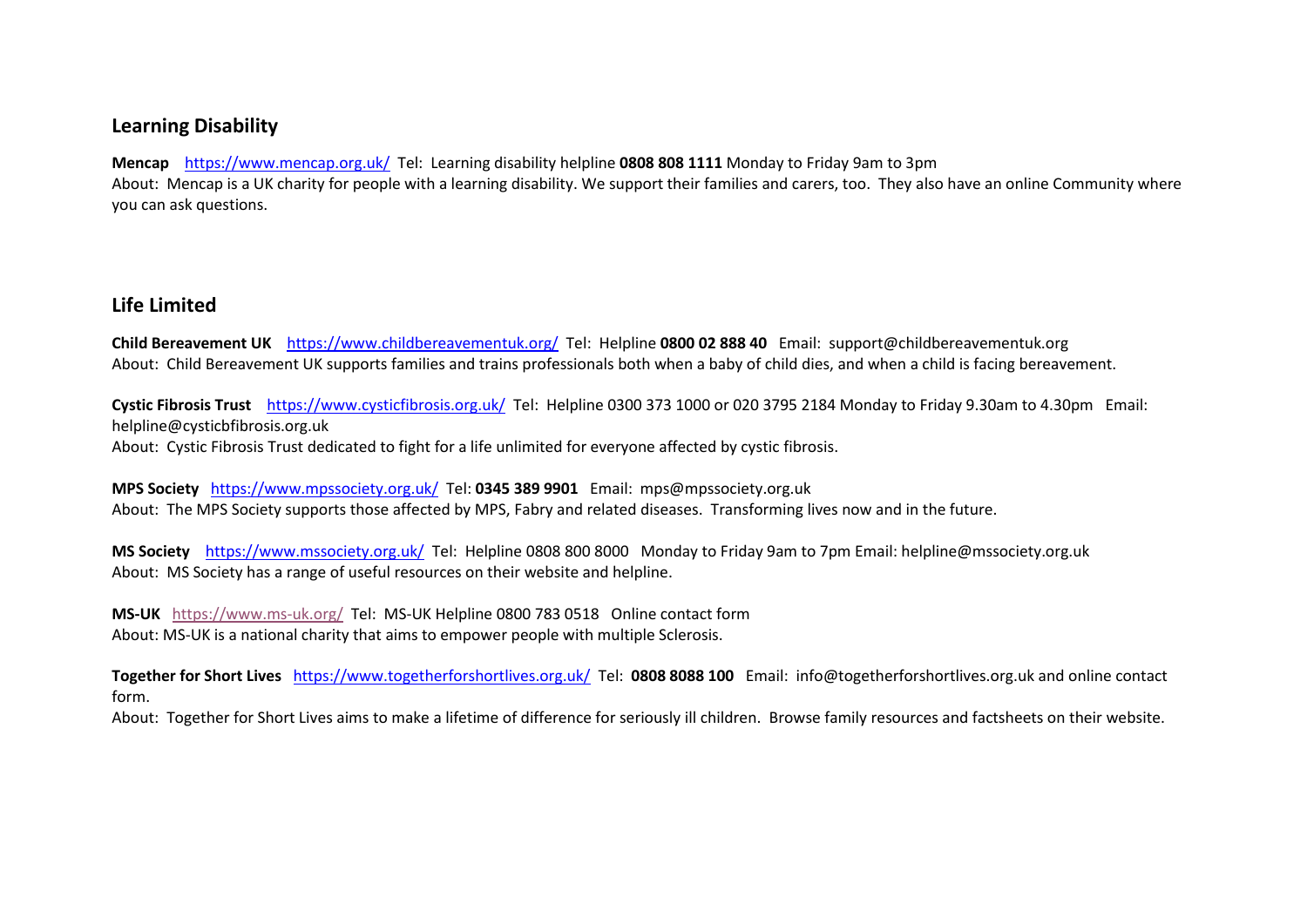# **Learning Disability**

**Mencap** <https://www.mencap.org.uk/>Tel: Learning disability helpline **0808 808 1111** Monday to Friday 9am to 3pm About: Mencap is a UK charity for people with a learning disability. We support their families and carers, too. They also have an online Community where you can ask questions.

# **Life Limited**

**Child Bereavement UK** <https://www.childbereavementuk.org/>Tel: Helpline **0800 02 888 40** Email: support@childbereavementuk.org About: Child Bereavement UK supports families and trains professionals both when a baby of child dies, and when a child is facing bereavement.

**Cystic Fibrosis Trust** <https://www.cysticfibrosis.org.uk/>Tel: Helpline 0300 373 1000 or 020 3795 2184 Monday to Friday 9.30am to 4.30pm Email: helpline@cysticbfibrosis.org.uk

About: Cystic Fibrosis Trust dedicated to fight for a life unlimited for everyone affected by cystic fibrosis.

**MPS Society** <https://www.mpssociety.org.uk/>Tel: **0345 389 9901** Email: mps@mpssociety.org.uk About: The MPS Society supports those affected by MPS, Fabry and related diseases. Transforming lives now and in the future.

**MS Society** <https://www.mssociety.org.uk/> Tel: Helpline 0808 800 8000 Monday to Friday 9am to 7pm Email: helpline@mssociety.org.uk About: MS Society has a range of useful resources on their website and helpline.

**MS-UK** <https://www.ms-uk.org/>Tel: MS-UK Helpline 0800 783 0518 Online contact form About: MS-UK is a national charity that aims to empower people with multiple Sclerosis.

**Together for Short Lives** <https://www.togetherforshortlives.org.uk/>Tel: **0808 8088 100** Email: info@togetherforshortlives.org.uk and online contact form.

About: Together for Short Lives aims to make a lifetime of difference for seriously ill children. Browse family resources and factsheets on their website.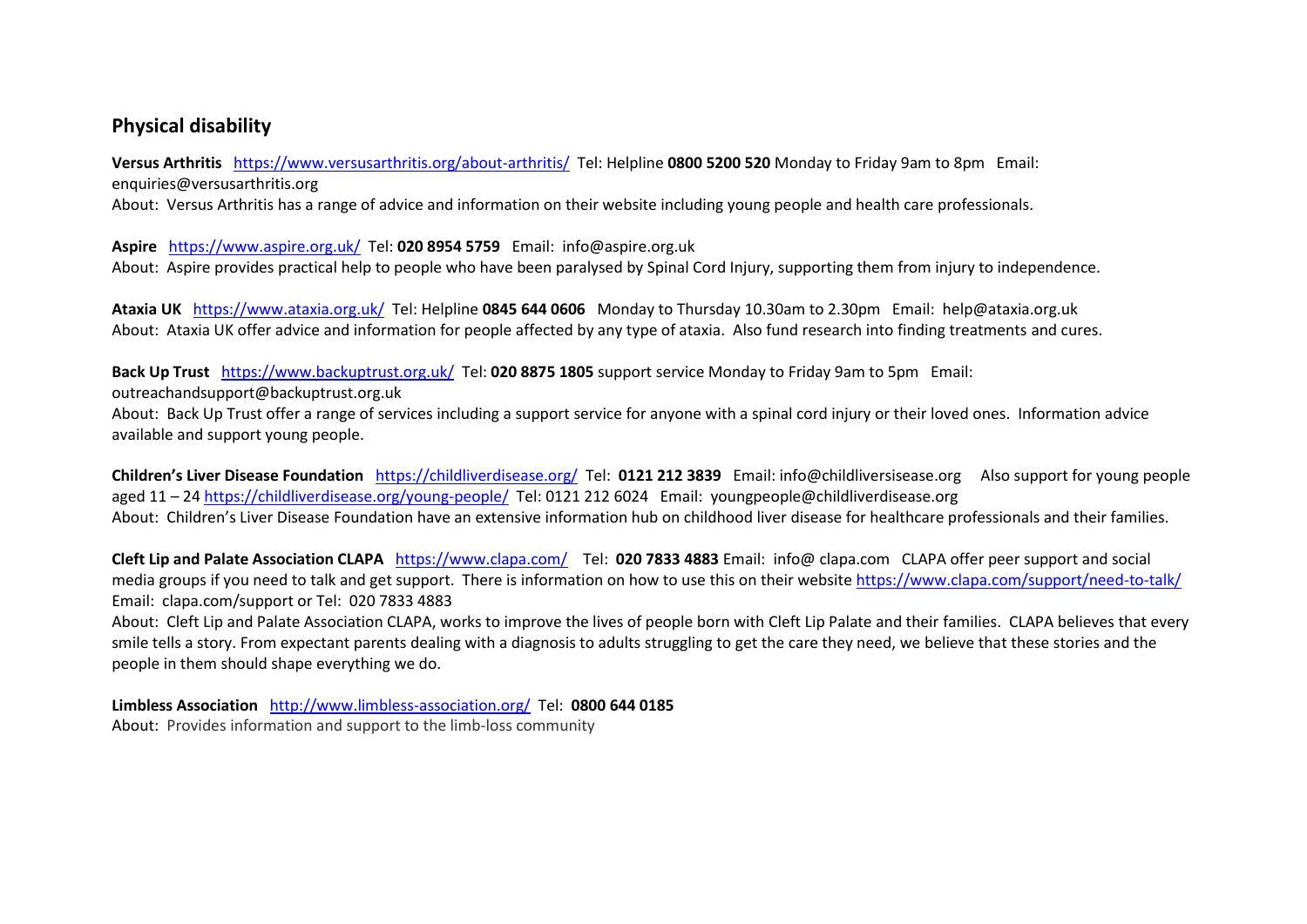# **Physical disability**

**Versus Arthritis** <https://www.versusarthritis.org/about-arthritis/>Tel: Helpline **0800 5200 520** Monday to Friday 9am to 8pm Email: enquiries@versusarthritis.org

About: Versus Arthritis has a range of advice and information on their website including young people and health care professionals.

**Aspire** <https://www.aspire.org.uk/>Tel: **020 8954 5759** Email: info@aspire.org.uk About: Aspire provides practical help to people who have been paralysed by Spinal Cord Injury, supporting them from injury to independence.

**Ataxia UK** <https://www.ataxia.org.uk/>Tel: Helpline **0845 644 0606** Monday to Thursday 10.30am to 2.30pm Email: help@ataxia.org.uk About: Ataxia UK offer advice and information for people affected by any type of ataxia. Also fund research into finding treatments and cures.

**Back Up Trust** <https://www.backuptrust.org.uk/>Tel: **020 8875 1805** support service Monday to Friday 9am to 5pm Email:

outreachandsupport@backuptrust.org.uk

About: Back Up Trust offer a range of services including a support service for anyone with a spinal cord injury or their loved ones. Information advice available and support young people.

**Children's Liver Disease Foundation** <https://childliverdisease.org/>Tel: **0121 212 3839** Email: info@childliversisease.org Also support for young people aged 11 – 2[4 https://childliverdisease.org/young-people/](https://childliverdisease.org/young-people/) Tel: 0121 212 6024 Email: youngpeople@childliverdisease.org About: Children's Liver Disease Foundation have an extensive information hub on childhood liver disease for healthcare professionals and their families.

**Cleft Lip and Palate Association CLAPA** <https://www.clapa.com/>Tel: **020 7833 4883** Email: info@ clapa.com CLAPA offer peer support and social media groups if you need to talk and get support. There is information on how to use this on their website<https://www.clapa.com/support/need-to-talk/> Email: clapa.com/support or Tel: 020 7833 4883

About: Cleft Lip and Palate Association CLAPA, works to improve the lives of people born with Cleft Lip Palate and their families. CLAPA believes that every smile tells a story. From expectant parents dealing with a diagnosis to adults struggling to get the care they need, we believe that these stories and the people in them should shape everything we do.

**Limbless Association** <http://www.limbless-association.org/>Tel: **0800 644 0185** About: Provides information and support to the limb-loss community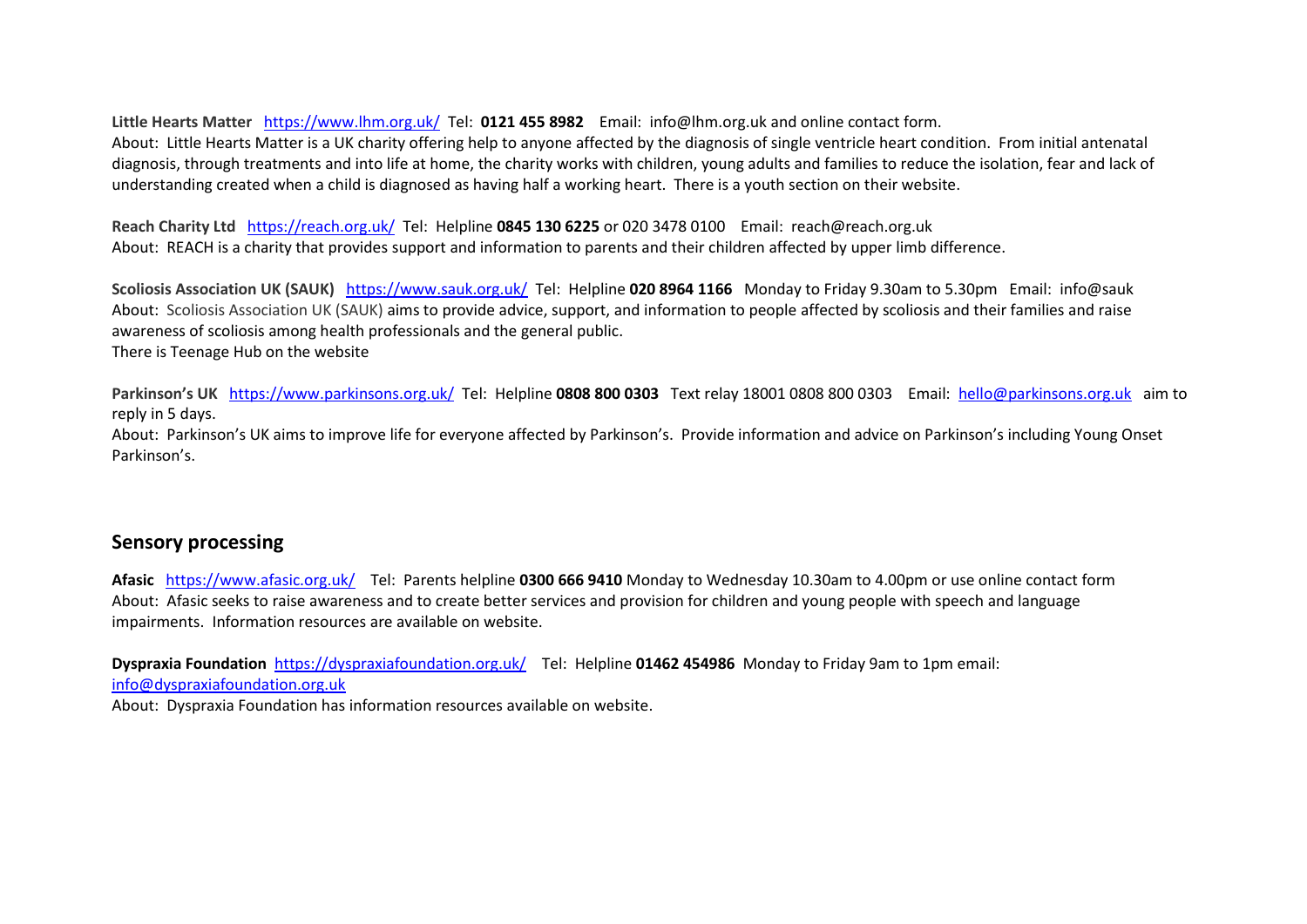**Little Hearts Matter** <https://www.lhm.org.uk/>Tel: **0121 455 8982** Email: info@lhm.org.uk and online contact form. About: Little Hearts Matter is a UK charity offering help to anyone affected by the diagnosis of single ventricle heart condition. From initial antenatal diagnosis, through treatments and into life at home, the charity works with children, young adults and families to reduce the isolation, fear and lack of understanding created when a child is diagnosed as having half a working heart. There is a youth section on their website.

**Reach Charity Ltd** <https://reach.org.uk/>Tel: Helpline **0845 130 6225** or 020 3478 0100 Email: reach@reach.org.uk About: REACH is a charity that provides support and information to parents and their children affected by upper limb difference.

**Scoliosis Association UK (SAUK)** <https://www.sauk.org.uk/>Tel: Helpline **020 8964 1166** Monday to Friday 9.30am to 5.30pm Email: info@sauk About: Scoliosis Association UK (SAUK) aims to provide advice, support, and information to people affected by scoliosis and their families and raise awareness of scoliosis among health professionals and the general public. There is Teenage Hub on the website

**Parkinson's UK** <https://www.parkinsons.org.uk/>Tel: Helpline **0808 800 0303** Text relay 18001 0808 800 0303 Email: [hello@parkinsons.org.uk](mailto:hello@parkinsons.org.uk) aim to reply in 5 days.

About: Parkinson's UK aims to improve life for everyone affected by Parkinson's. Provide information and advice on Parkinson's including Young Onset Parkinson's.

# **Sensory processing**

**Afasic** <https://www.afasic.org.uk/>Tel: Parents helpline **0300 666 9410** Monday to Wednesday 10.30am to 4.00pm or use online contact form About: Afasic seeks to raise awareness and to create better services and provision for children and young people with speech and language impairments. Information resources are available on website.

**Dyspraxia Foundation** <https://dyspraxiafoundation.org.uk/>Tel: Helpline **01462 454986** Monday to Friday 9am to 1pm email: [info@dyspraxiafoundation.org.uk](mailto:info@dyspraxiafoundation.org.uk) 

About: Dyspraxia Foundation has information resources available on website.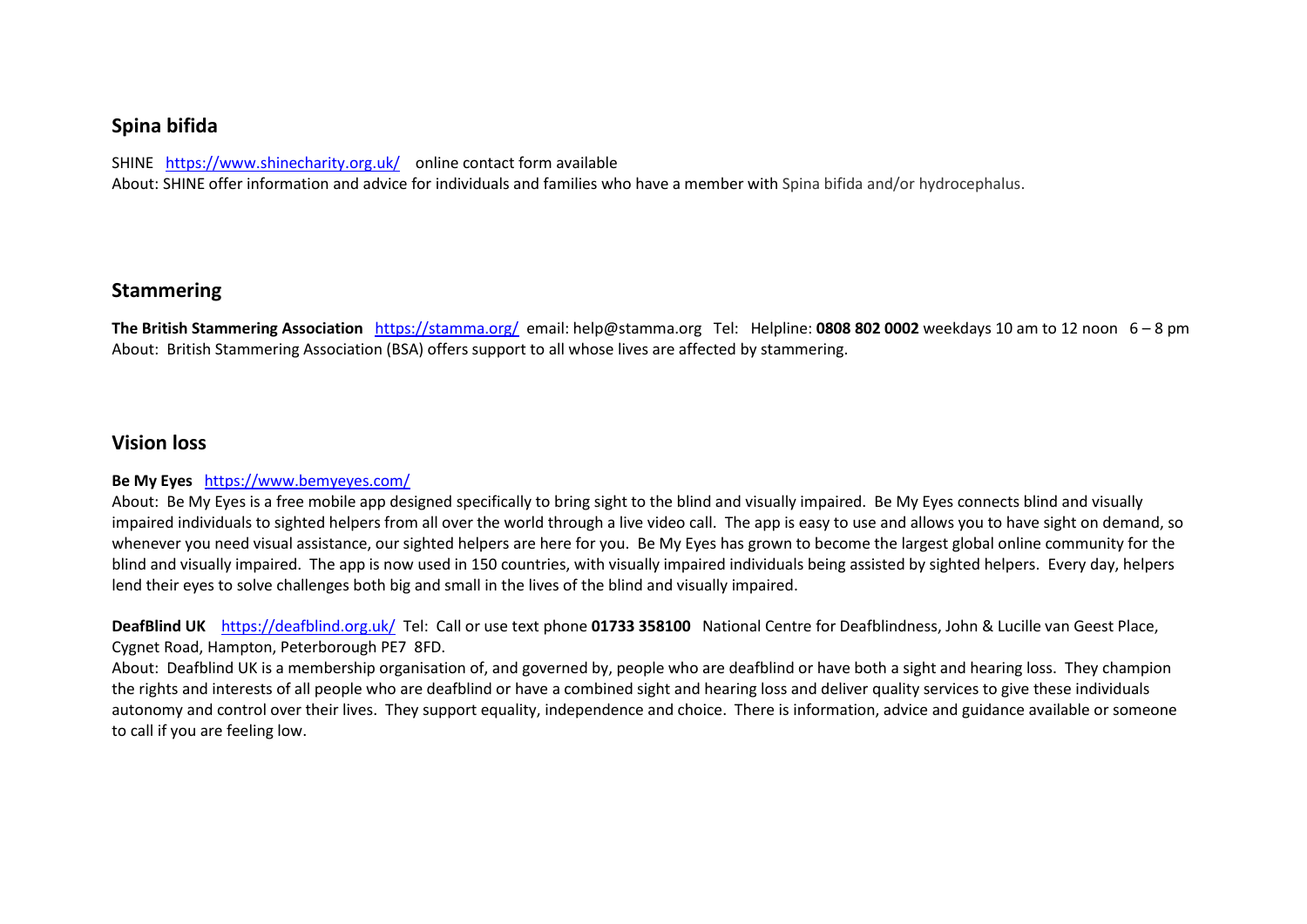### **Spina bifida**

SHINE <https://www.shinecharity.org.uk/>online contact form available

About: SHINE offer information and advice for individuals and families who have a member with Spina bifida and/or hydrocephalus.

### **Stammering**

**The British Stammering Association** <https://stamma.org/>email: help@stamma.org Tel: Helpline: **0808 802 0002** weekdays 10 am to 12 noon 6 – 8 pm About: British Stammering Association (BSA) offers support to all whose lives are affected by stammering.

### **Vision loss**

#### **Be My Eyes** <https://www.bemyeyes.com/>

About: Be My Eyes is a free mobile app designed specifically to bring sight to the blind and visually impaired. Be My Eyes connects blind and visually impaired individuals to sighted helpers from all over the world through a live video call. The app is easy to use and allows you to have sight on demand, so whenever you need visual assistance, our sighted helpers are here for you. Be My Eyes has grown to become the largest global online community for the blind and visually impaired. The app is now used in 150 countries, with visually impaired individuals being assisted by sighted helpers. Every day, helpers lend their eyes to solve challenges both big and small in the lives of the blind and visually impaired.

**DeafBlind UK** <https://deafblind.org.uk/>Tel: Call or use text phone **01733 358100** National Centre for Deafblindness, John & Lucille van Geest Place, Cygnet Road, Hampton, Peterborough PE7 8FD.

About: Deafblind UK is a membership organisation of, and governed by, people who are deafblind or have both a sight and hearing loss. They champion the rights and interests of all people who are deafblind or have a combined sight and hearing loss and deliver quality services to give these individuals autonomy and control over their lives. They support equality, independence and choice. There is information, advice and guidance available or someone to call if you are feeling low.